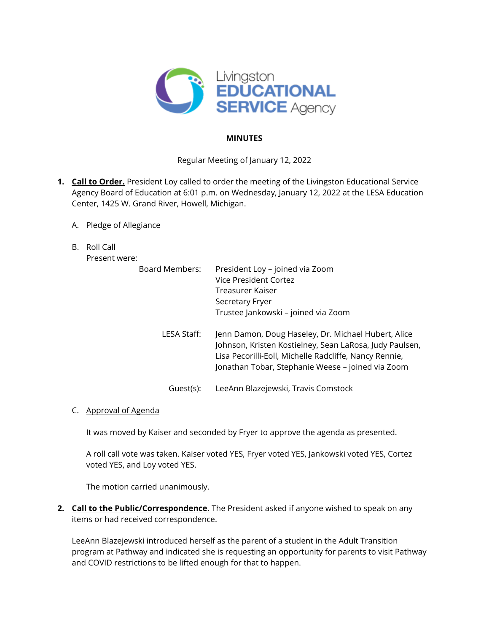

# **MINUTES**

Regular Meeting of January 12, 2022

- **1. Call to Order.** President Loy called to order the meeting of the Livingston Educational Service Agency Board of Education at 6:01 p.m. on Wednesday, January 12, 2022 at the LESA Education Center, 1425 W. Grand River, Howell, Michigan.
	- A. Pledge of Allegiance
	- B. Roll Call

Present were:

| Board Members: | President Loy - joined via Zoom<br>Vice President Cortez<br>Treasurer Kaiser<br>Secretary Fryer<br>Trustee Jankowski - joined via Zoom                                                                                        |
|----------------|-------------------------------------------------------------------------------------------------------------------------------------------------------------------------------------------------------------------------------|
| LESA Staff:    | Jenn Damon, Doug Haseley, Dr. Michael Hubert, Alice<br>Johnson, Kristen Kostielney, Sean LaRosa, Judy Paulsen,<br>Lisa Pecorilli-Eoll, Michelle Radcliffe, Nancy Rennie,<br>Jonathan Tobar, Stephanie Weese - joined via Zoom |
| Guest(s):      | LeeAnn Blazejewski, Travis Comstock                                                                                                                                                                                           |

### C. Approval of Agenda

It was moved by Kaiser and seconded by Fryer to approve the agenda as presented.

A roll call vote was taken. Kaiser voted YES, Fryer voted YES, Jankowski voted YES, Cortez voted YES, and Loy voted YES.

The motion carried unanimously.

**2. Call to the Public/Correspondence.** The President asked if anyone wished to speak on any items or had received correspondence.

LeeAnn Blazejewski introduced herself as the parent of a student in the Adult Transition program at Pathway and indicated she is requesting an opportunity for parents to visit Pathway and COVID restrictions to be lifted enough for that to happen.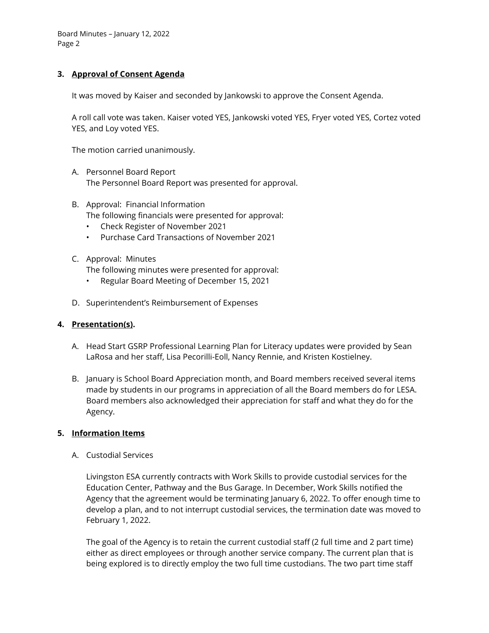Board Minutes – January 12, 2022 Page 2

# **3. Approval of Consent Agenda**

It was moved by Kaiser and seconded by Jankowski to approve the Consent Agenda.

A roll call vote was taken. Kaiser voted YES, Jankowski voted YES, Fryer voted YES, Cortez voted YES, and Loy voted YES.

The motion carried unanimously.

- A. Personnel Board Report The Personnel Board Report was presented for approval.
- B. Approval: Financial Information The following financials were presented for approval:
	- Check Register of November 2021
	- Purchase Card Transactions of November 2021

### C. Approval: Minutes

The following minutes were presented for approval:

- Regular Board Meeting of December 15, 2021
- D. Superintendent's Reimbursement of Expenses

### **4. Presentation(s).**

- A. Head Start GSRP Professional Learning Plan for Literacy updates were provided by Sean LaRosa and her staff, Lisa Pecorilli-Eoll, Nancy Rennie, and Kristen Kostielney.
- B. January is School Board Appreciation month, and Board members received several items made by students in our programs in appreciation of all the Board members do for LESA. Board members also acknowledged their appreciation for staff and what they do for the Agency.

### **5. Information Items**

A. Custodial Services

Livingston ESA currently contracts with Work Skills to provide custodial services for the Education Center, Pathway and the Bus Garage. In December, Work Skills notified the Agency that the agreement would be terminating January 6, 2022. To offer enough time to develop a plan, and to not interrupt custodial services, the termination date was moved to February 1, 2022.

The goal of the Agency is to retain the current custodial staff (2 full time and 2 part time) either as direct employees or through another service company. The current plan that is being explored is to directly employ the two full time custodians. The two part time staff